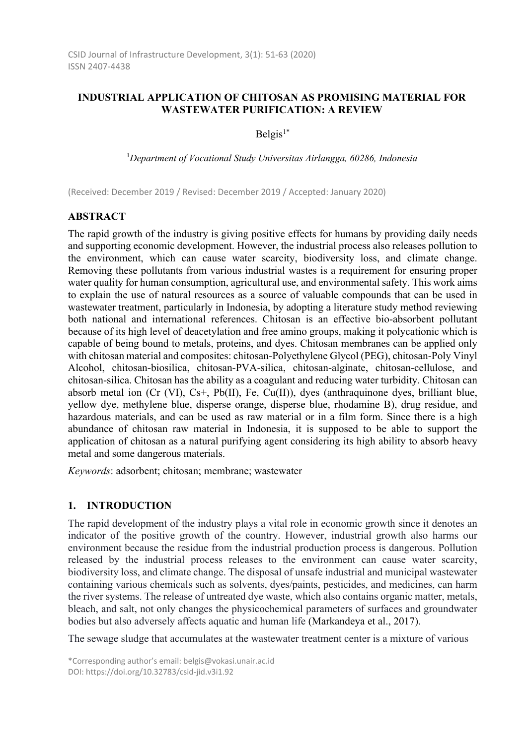# **INDUSTRIAL APPLICATION OF CHITOSAN AS PROMISING MATERIAL FOR WASTEWATER PURIFICATION: A REVIEW**

 $Belgis<sup>1*</sup>$ 

1 *Department of Vocational Study Universitas Airlangga, 60286, Indonesia* 

(Received: December 2019 / Revised: December 2019 / Accepted: January 2020)

### **ABSTRACT**

The rapid growth of the industry is giving positive effects for humans by providing daily needs and supporting economic development. However, the industrial process also releases pollution to the environment, which can cause water scarcity, biodiversity loss, and climate change. Removing these pollutants from various industrial wastes is a requirement for ensuring proper water quality for human consumption, agricultural use, and environmental safety. This work aims to explain the use of natural resources as a source of valuable compounds that can be used in wastewater treatment, particularly in Indonesia, by adopting a literature study method reviewing both national and international references. Chitosan is an effective bio-absorbent pollutant because of its high level of deacetylation and free amino groups, making it polycationic which is capable of being bound to metals, proteins, and dyes. Chitosan membranes can be applied only with chitosan material and composites: chitosan-Polyethylene Glycol (PEG), chitosan-Poly Vinyl Alcohol, chitosan-biosilica, chitosan-PVA-silica, chitosan-alginate, chitosan-cellulose, and chitosan-silica. Chitosan has the ability as a coagulant and reducing water turbidity. Chitosan can absorb metal ion (Cr (VI), Cs+, Pb(II), Fe, Cu(II)), dyes (anthraquinone dyes, brilliant blue, yellow dye, methylene blue, disperse orange, disperse blue, rhodamine B), drug residue, and hazardous materials, and can be used as raw material or in a film form. Since there is a high abundance of chitosan raw material in Indonesia, it is supposed to be able to support the application of chitosan as a natural purifying agent considering its high ability to absorb heavy metal and some dangerous materials.

*Keywords*: adsorbent; chitosan; membrane; wastewater

## **1. INTRODUCTION**

The rapid development of the industry plays a vital role in economic growth since it denotes an indicator of the positive growth of the country. However, industrial growth also harms our environment because the residue from the industrial production process is dangerous. Pollution released by the industrial process releases to the environment can cause water scarcity, biodiversity loss, and climate change. The disposal of unsafe industrial and municipal wastewater containing various chemicals such as solvents, dyes/paints, pesticides, and medicines, can harm the river systems. The release of untreated dye waste, which also contains organic matter, metals, bleach, and salt, not only changes the physicochemical parameters of surfaces and groundwater bodies but also adversely affects aquatic and human life (Markandeya et al., 2017).

The sewage sludge that accumulates at the wastewater treatment center is a mixture of various

<sup>\*</sup>Corresponding author's email: belgis@vokasi.unair.ac.id

DOI: https://doi.org/10.32783/csid-jid.v3i1.92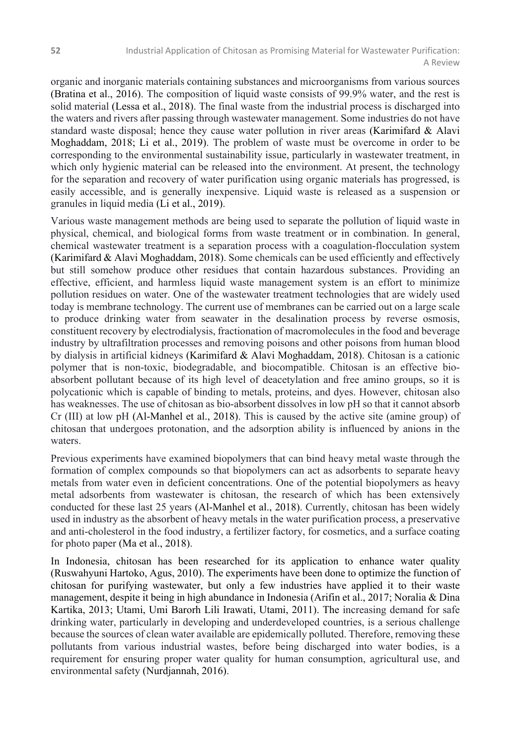organic and inorganic materials containing substances and microorganisms from various sources (Bratina et al., 2016). The composition of liquid waste consists of 99.9% water, and the rest is solid material (Lessa et al., 2018). The final waste from the industrial process is discharged into the waters and rivers after passing through wastewater management. Some industries do not have standard waste disposal; hence they cause water pollution in river areas (Karimifard & Alavi Moghaddam, 2018; Li et al., 2019). The problem of waste must be overcome in order to be corresponding to the environmental sustainability issue, particularly in wastewater treatment, in which only hygienic material can be released into the environment. At present, the technology for the separation and recovery of water purification using organic materials has progressed, is easily accessible, and is generally inexpensive. Liquid waste is released as a suspension or granules in liquid media (Li et al., 2019).

Various waste management methods are being used to separate the pollution of liquid waste in physical, chemical, and biological forms from waste treatment or in combination. In general, chemical wastewater treatment is a separation process with a coagulation-flocculation system (Karimifard & Alavi Moghaddam, 2018). Some chemicals can be used efficiently and effectively but still somehow produce other residues that contain hazardous substances. Providing an effective, efficient, and harmless liquid waste management system is an effort to minimize pollution residues on water. One of the wastewater treatment technologies that are widely used today is membrane technology. The current use of membranes can be carried out on a large scale to produce drinking water from seawater in the desalination process by reverse osmosis, constituent recovery by electrodialysis, fractionation of macromolecules in the food and beverage industry by ultrafiltration processes and removing poisons and other poisons from human blood by dialysis in artificial kidneys (Karimifard & Alavi Moghaddam, 2018). Chitosan is a cationic polymer that is non-toxic, biodegradable, and biocompatible. Chitosan is an effective bioabsorbent pollutant because of its high level of deacetylation and free amino groups, so it is polycationic which is capable of binding to metals, proteins, and dyes. However, chitosan also has weaknesses. The use of chitosan as bio-absorbent dissolves in low pH so that it cannot absorb Cr (III) at low pH (Al-Manhel et al., 2018). This is caused by the active site (amine group) of chitosan that undergoes protonation, and the adsorption ability is influenced by anions in the waters.

Previous experiments have examined biopolymers that can bind heavy metal waste through the formation of complex compounds so that biopolymers can act as adsorbents to separate heavy metals from water even in deficient concentrations. One of the potential biopolymers as heavy metal adsorbents from wastewater is chitosan, the research of which has been extensively conducted for these last 25 years (Al-Manhel et al., 2018). Currently, chitosan has been widely used in industry as the absorbent of heavy metals in the water purification process, a preservative and anti-cholesterol in the food industry, a fertilizer factory, for cosmetics, and a surface coating for photo paper (Ma et al., 2018).

In Indonesia, chitosan has been researched for its application to enhance water quality (Ruswahyuni Hartoko, Agus, 2010). The experiments have been done to optimize the function of chitosan for purifying wastewater, but only a few industries have applied it to their waste management, despite it being in high abundance in Indonesia (Arifin et al., 2017; Noralia & Dina Kartika, 2013; Utami, Umi Barorh Lili Irawati, Utami, 2011). The increasing demand for safe drinking water, particularly in developing and underdeveloped countries, is a serious challenge because the sources of clean water available are epidemically polluted. Therefore, removing these pollutants from various industrial wastes, before being discharged into water bodies, is a requirement for ensuring proper water quality for human consumption, agricultural use, and environmental safety (Nurdjannah, 2016).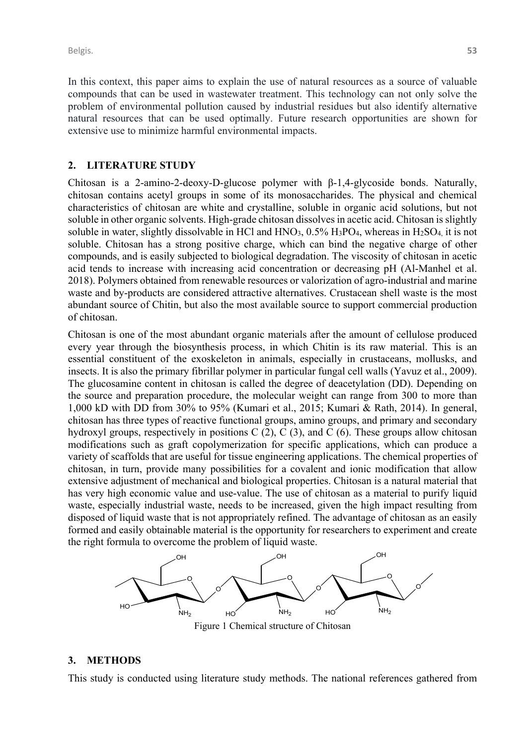Belgis. **53**

In this context, this paper aims to explain the use of natural resources as a source of valuable compounds that can be used in wastewater treatment. This technology can not only solve the problem of environmental pollution caused by industrial residues but also identify alternative natural resources that can be used optimally. Future research opportunities are shown for extensive use to minimize harmful environmental impacts.

#### **2. LITERATURE STUDY**

Chitosan is a 2-amino-2-deoxy-D-glucose polymer with  $\beta$ -1,4-glycoside bonds. Naturally, chitosan contains acetyl groups in some of its monosaccharides. The physical and chemical characteristics of chitosan are white and crystalline, soluble in organic acid solutions, but not soluble in other organic solvents. High-grade chitosan dissolves in acetic acid. Chitosan is slightly soluble in water, slightly dissolvable in HCl and  $HNO<sub>3</sub>$ ,  $0.5\%$   $H<sub>3</sub>PO<sub>4</sub>$ , whereas in  $H<sub>2</sub>SO<sub>4</sub>$ , it is not soluble. Chitosan has a strong positive charge, which can bind the negative charge of other compounds, and is easily subjected to biological degradation. The viscosity of chitosan in acetic acid tends to increase with increasing acid concentration or decreasing pH (Al-Manhel et al. 2018). Polymers obtained from renewable resources or valorization of agro-industrial and marine waste and by-products are considered attractive alternatives. Crustacean shell waste is the most abundant source of Chitin, but also the most available source to support commercial production of chitosan.

Chitosan is one of the most abundant organic materials after the amount of cellulose produced every year through the biosynthesis process, in which Chitin is its raw material. This is an essential constituent of the exoskeleton in animals, especially in crustaceans, mollusks, and insects. It is also the primary fibrillar polymer in particular fungal cell walls (Yavuz et al., 2009). The glucosamine content in chitosan is called the degree of deacetylation (DD). Depending on the source and preparation procedure, the molecular weight can range from 300 to more than 1,000 kD with DD from 30% to 95% (Kumari et al., 2015; Kumari & Rath, 2014). In general, chitosan has three types of reactive functional groups, amino groups, and primary and secondary hydroxyl groups, respectively in positions C (2), C (3), and C (6). These groups allow chitosan modifications such as graft copolymerization for specific applications, which can produce a variety of scaffolds that are useful for tissue engineering applications. The chemical properties of chitosan, in turn, provide many possibilities for a covalent and ionic modification that allow extensive adjustment of mechanical and biological properties. Chitosan is a natural material that has very high economic value and use-value. The use of chitosan as a material to purify liquid waste, especially industrial waste, needs to be increased, given the high impact resulting from disposed of liquid waste that is not appropriately refined. The advantage of chitosan as an easily formed and easily obtainable material is the opportunity for researchers to experiment and create the right formula to overcome the problem of liquid waste.



**3. METHODS**

This study is conducted using literature study methods. The national references gathered from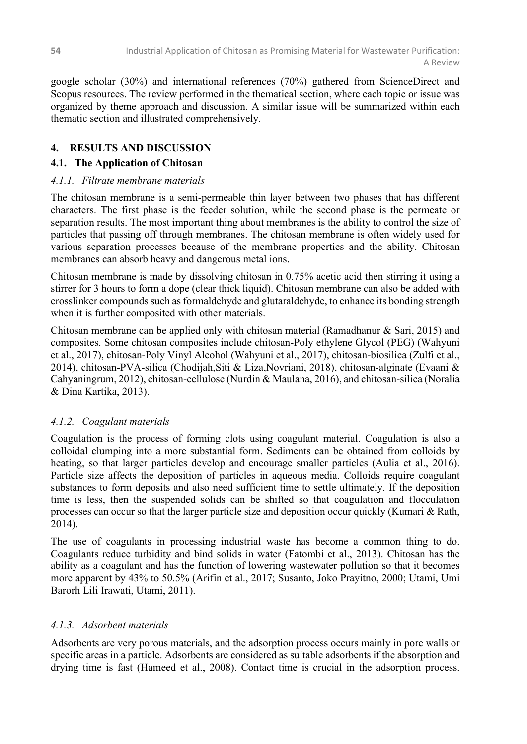google scholar (30%) and international references (70%) gathered from ScienceDirect and Scopus resources. The review performed in the thematical section, where each topic or issue was organized by theme approach and discussion. A similar issue will be summarized within each thematic section and illustrated comprehensively.

# **4. RESULTS AND DISCUSSION**

# **4.1. The Application of Chitosan**

# *4.1.1. Filtrate membrane materials*

The chitosan membrane is a semi-permeable thin layer between two phases that has different characters. The first phase is the feeder solution, while the second phase is the permeate or separation results. The most important thing about membranes is the ability to control the size of particles that passing off through membranes. The chitosan membrane is often widely used for various separation processes because of the membrane properties and the ability. Chitosan membranes can absorb heavy and dangerous metal ions.

Chitosan membrane is made by dissolving chitosan in 0.75% acetic acid then stirring it using a stirrer for 3 hours to form a dope (clear thick liquid). Chitosan membrane can also be added with crosslinker compounds such as formaldehyde and glutaraldehyde, to enhance its bonding strength when it is further composited with other materials.

Chitosan membrane can be applied only with chitosan material (Ramadhanur & Sari, 2015) and composites. Some chitosan composites include chitosan-Poly ethylene Glycol (PEG) (Wahyuni et al., 2017), chitosan-Poly Vinyl Alcohol (Wahyuni et al., 2017), chitosan-biosilica (Zulfi et al., 2014), chitosan-PVA-silica (Chodijah,Siti & Liza,Novriani, 2018), chitosan-alginate (Evaani & Cahyaningrum, 2012), chitosan-cellulose (Nurdin & Maulana, 2016), and chitosan-silica (Noralia & Dina Kartika, 2013).

# *4.1.2. Coagulant materials*

Coagulation is the process of forming clots using coagulant material. Coagulation is also a colloidal clumping into a more substantial form. Sediments can be obtained from colloids by heating, so that larger particles develop and encourage smaller particles (Aulia et al., 2016). Particle size affects the deposition of particles in aqueous media. Colloids require coagulant substances to form deposits and also need sufficient time to settle ultimately. If the deposition time is less, then the suspended solids can be shifted so that coagulation and flocculation processes can occur so that the larger particle size and deposition occur quickly (Kumari & Rath, 2014).

The use of coagulants in processing industrial waste has become a common thing to do. Coagulants reduce turbidity and bind solids in water (Fatombi et al., 2013). Chitosan has the ability as a coagulant and has the function of lowering wastewater pollution so that it becomes more apparent by 43% to 50.5% (Arifin et al., 2017; Susanto, Joko Prayitno, 2000; Utami, Umi Barorh Lili Irawati, Utami, 2011).

## *4.1.3. Adsorbent materials*

Adsorbents are very porous materials, and the adsorption process occurs mainly in pore walls or specific areas in a particle. Adsorbents are considered as suitable adsorbents if the absorption and drying time is fast (Hameed et al., 2008). Contact time is crucial in the adsorption process.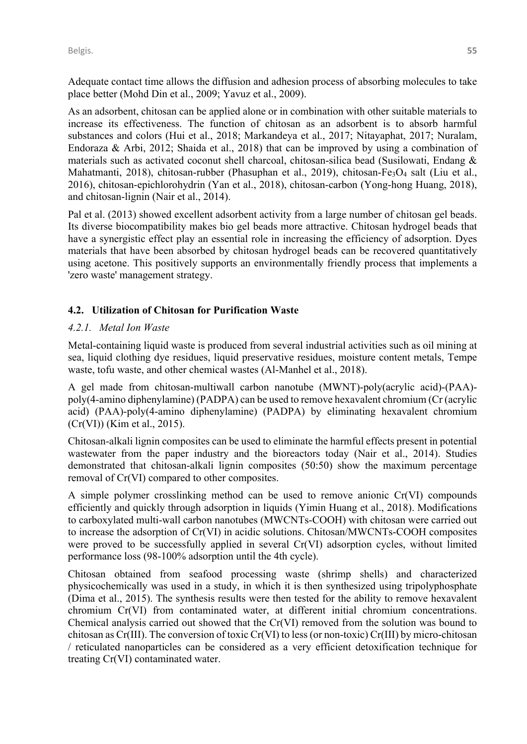Adequate contact time allows the diffusion and adhesion process of absorbing molecules to take place better (Mohd Din et al., 2009; Yavuz et al., 2009).

As an adsorbent, chitosan can be applied alone or in combination with other suitable materials to increase its effectiveness. The function of chitosan as an adsorbent is to absorb harmful substances and colors (Hui et al., 2018; Markandeya et al., 2017; Nitayaphat, 2017; Nuralam, Endoraza & Arbi, 2012; Shaida et al., 2018) that can be improved by using a combination of materials such as activated coconut shell charcoal, chitosan-silica bead (Susilowati, Endang & Mahatmanti, 2018), chitosan-rubber (Phasuphan et al., 2019), chitosan-Fe<sub>3</sub>O<sub>4</sub> salt (Liu et al., 2016), chitosan-epichlorohydrin (Yan et al., 2018), chitosan-carbon (Yong-hong Huang, 2018), and chitosan-lignin (Nair et al., 2014).

Pal et al. (2013) showed excellent adsorbent activity from a large number of chitosan gel beads. Its diverse biocompatibility makes bio gel beads more attractive. Chitosan hydrogel beads that have a synergistic effect play an essential role in increasing the efficiency of adsorption. Dyes materials that have been absorbed by chitosan hydrogel beads can be recovered quantitatively using acetone. This positively supports an environmentally friendly process that implements a 'zero waste' management strategy.

### **4.2. Utilization of Chitosan for Purification Waste**

#### *4.2.1. Metal Ion Waste*

Metal-containing liquid waste is produced from several industrial activities such as oil mining at sea, liquid clothing dye residues, liquid preservative residues, moisture content metals, Tempe waste, tofu waste, and other chemical wastes (Al-Manhel et al., 2018).

A gel made from chitosan-multiwall carbon nanotube (MWNT)-poly(acrylic acid)-(PAA) poly(4-amino diphenylamine) (PADPA) can be used to remove hexavalent chromium (Cr (acrylic acid) (PAA)-poly(4-amino diphenylamine) (PADPA) by eliminating hexavalent chromium (Cr(VI)) (Kim et al., 2015).

Chitosan-alkali lignin composites can be used to eliminate the harmful effects present in potential wastewater from the paper industry and the bioreactors today (Nair et al., 2014). Studies demonstrated that chitosan-alkali lignin composites (50:50) show the maximum percentage removal of Cr(VI) compared to other composites.

A simple polymer crosslinking method can be used to remove anionic Cr(VI) compounds efficiently and quickly through adsorption in liquids (Yimin Huang et al., 2018). Modifications to carboxylated multi-wall carbon nanotubes (MWCNTs-COOH) with chitosan were carried out to increase the adsorption of Cr(VI) in acidic solutions. Chitosan/MWCNTs-COOH composites were proved to be successfully applied in several Cr(VI) adsorption cycles, without limited performance loss (98-100% adsorption until the 4th cycle).

Chitosan obtained from seafood processing waste (shrimp shells) and characterized physicochemically was used in a study, in which it is then synthesized using tripolyphosphate (Dima et al., 2015). The synthesis results were then tested for the ability to remove hexavalent chromium Cr(VI) from contaminated water, at different initial chromium concentrations. Chemical analysis carried out showed that the Cr(VI) removed from the solution was bound to chitosan as Cr(III). The conversion of toxic Cr(VI) to less (or non-toxic) Cr(III) by micro-chitosan / reticulated nanoparticles can be considered as a very efficient detoxification technique for treating Cr(VI) contaminated water.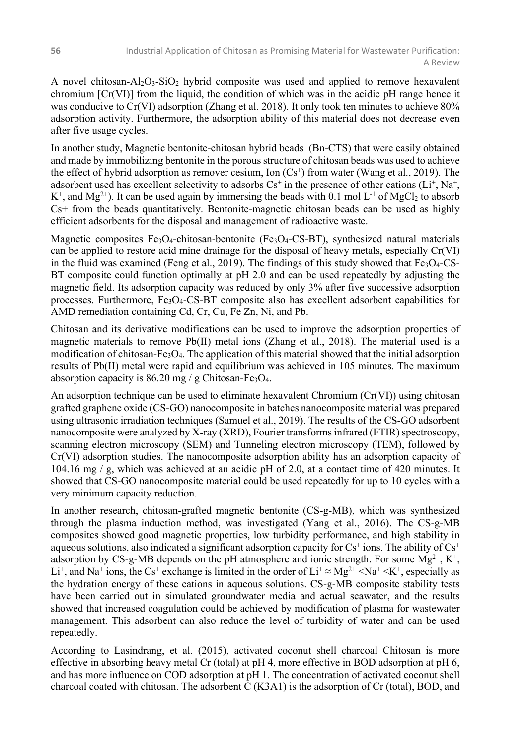A novel chitosan-Al<sub>2</sub>O<sub>3</sub>-SiO<sub>2</sub> hybrid composite was used and applied to remove hexavalent chromium  $[Cr(VI)]$  from the liquid, the condition of which was in the acidic pH range hence it was conducive to Cr(VI) adsorption (Zhang et al. 2018). It only took ten minutes to achieve 80% adsorption activity. Furthermore, the adsorption ability of this material does not decrease even after five usage cycles.

In another study, Magnetic bentonite-chitosan hybrid beads (Bn-CTS) that were easily obtained and made by immobilizing bentonite in the porous structure of chitosan beads was used to achieve the effect of hybrid adsorption as remover cesium, Ion  $(Cs^+)$  from water (Wang et al., 2019). The adsorbent used has excellent selectivity to adsorbs  $Cs^+$  in the presence of other cations ( $Li^+, Na^+,$  $K^+$ , and  $Mg^{2+}$ ). It can be used again by immersing the beads with 0.1 mol L<sup>-1</sup> of MgCl<sub>2</sub> to absorb Cs+ from the beads quantitatively. Bentonite-magnetic chitosan beads can be used as highly efficient adsorbents for the disposal and management of radioactive waste.

Magnetic composites  $Fe<sub>3</sub>O<sub>4</sub>$ -chitosan-bentonite (Fe $<sub>3</sub>O<sub>4</sub>$ -CS-BT), synthesized natural materials</sub> can be applied to restore acid mine drainage for the disposal of heavy metals, especially Cr(VI) in the fluid was examined (Feng et al., 2019). The findings of this study showed that  $Fe<sub>3</sub>O<sub>4</sub>-CS-$ BT composite could function optimally at pH 2.0 and can be used repeatedly by adjusting the magnetic field. Its adsorption capacity was reduced by only 3% after five successive adsorption processes. Furthermore, Fe3O4-CS-BT composite also has excellent adsorbent capabilities for AMD remediation containing Cd, Cr, Cu, Fe Zn, Ni, and Pb.

Chitosan and its derivative modifications can be used to improve the adsorption properties of magnetic materials to remove Pb(II) metal ions (Zhang et al., 2018). The material used is a modification of chitosan- $Fe<sub>3</sub>O<sub>4</sub>$ . The application of this material showed that the initial adsorption results of Pb(II) metal were rapid and equilibrium was achieved in 105 minutes. The maximum absorption capacity is  $86.20$  mg / g Chitosan-Fe<sub>3</sub>O<sub>4</sub>.

An adsorption technique can be used to eliminate hexavalent Chromium  $(Cr(VI))$  using chitosan grafted graphene oxide (CS-GO) nanocomposite in batches nanocomposite material was prepared using ultrasonic irradiation techniques (Samuel et al., 2019). The results of the CS-GO adsorbent nanocomposite were analyzed by X-ray (XRD), Fourier transforms infrared (FTIR) spectroscopy, scanning electron microscopy (SEM) and Tunneling electron microscopy (TEM), followed by Cr(VI) adsorption studies. The nanocomposite adsorption ability has an adsorption capacity of 104.16 mg / g, which was achieved at an acidic pH of 2.0, at a contact time of 420 minutes. It showed that CS-GO nanocomposite material could be used repeatedly for up to 10 cycles with a very minimum capacity reduction.

In another research, chitosan-grafted magnetic bentonite (CS-g-MB), which was synthesized through the plasma induction method, was investigated (Yang et al., 2016). The CS-g-MB composites showed good magnetic properties, low turbidity performance, and high stability in aqueous solutions, also indicated a significant adsorption capacity for  $Cs^+$  ions. The ability of  $Cs^+$ adsorption by CS-g-MB depends on the pH atmosphere and ionic strength. For some  $Mg^{2+}$ ,  $K^+$ , Li<sup>+</sup>, and Na<sup>+</sup> ions, the Cs<sup>+</sup> exchange is limited in the order of Li<sup>+</sup>  $\approx$  Mg<sup>2+</sup>  $\leq$ Na<sup>+</sup>  $\leq$ K<sup>+</sup>, especially as the hydration energy of these cations in aqueous solutions. CS-g-MB composite stability tests have been carried out in simulated groundwater media and actual seawater, and the results showed that increased coagulation could be achieved by modification of plasma for wastewater management. This adsorbent can also reduce the level of turbidity of water and can be used repeatedly.

According to Lasindrang, et al. (2015), activated coconut shell charcoal Chitosan is more effective in absorbing heavy metal Cr (total) at pH 4, more effective in BOD adsorption at pH 6, and has more influence on COD adsorption at pH 1. The concentration of activated coconut shell charcoal coated with chitosan. The adsorbent C (K3A1) is the adsorption of Cr (total), BOD, and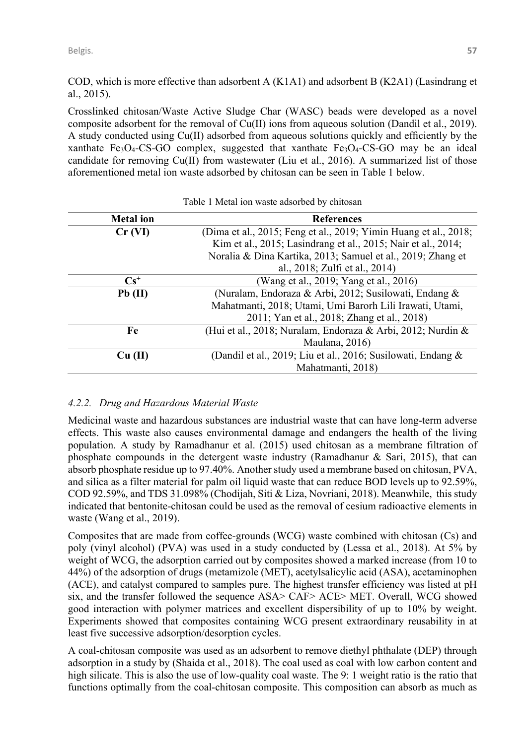COD, which is more effective than adsorbent A (K1A1) and adsorbent B (K2A1) (Lasindrang et al., 2015).

Crosslinked chitosan/Waste Active Sludge Char (WASC) beads were developed as a novel composite adsorbent for the removal of Cu(II) ions from aqueous solution (Dandil et al., 2019). A study conducted using Cu(II) adsorbed from aqueous solutions quickly and efficiently by the xanthate Fe<sub>3</sub>O<sub>4</sub>-CS-GO complex, suggested that xanthate Fe<sub>3</sub>O<sub>4</sub>-CS-GO may be an ideal candidate for removing Cu(II) from wastewater (Liu et al., 2016). A summarized list of those aforementioned metal ion waste adsorbed by chitosan can be seen in Table 1 below.

| <b>References</b>                                                |
|------------------------------------------------------------------|
| (Dima et al., 2015; Feng et al., 2019; Yimin Huang et al., 2018; |
| Kim et al., 2015; Lasindrang et al., 2015; Nair et al., 2014;    |
| Noralia & Dina Kartika, 2013; Samuel et al., 2019; Zhang et      |
| al., 2018; Zulfi et al., 2014)                                   |
| (Wang et al., 2019; Yang et al., 2016)                           |
| (Nuralam, Endoraza & Arbi, 2012; Susilowati, Endang &            |
| Mahatmanti, 2018; Utami, Umi Barorh Lili Irawati, Utami,         |
| 2011; Yan et al., 2018; Zhang et al., 2018)                      |
| (Hui et al., 2018; Nuralam, Endoraza & Arbi, 2012; Nurdin &      |
| Maulana, 2016)                                                   |
| (Dandil et al., 2019; Liu et al., 2016; Susilowati, Endang &     |
| Mahatmanti, 2018)                                                |
|                                                                  |

Table 1 Metal ion waste adsorbed by chitosan

## *4.2.2. Drug and Hazardous Material Waste*

Medicinal waste and hazardous substances are industrial waste that can have long-term adverse effects. This waste also causes environmental damage and endangers the health of the living population. A study by Ramadhanur et al. (2015) used chitosan as a membrane filtration of phosphate compounds in the detergent waste industry (Ramadhanur & Sari, 2015), that can absorb phosphate residue up to 97.40%. Another study used a membrane based on chitosan, PVA, and silica as a filter material for palm oil liquid waste that can reduce BOD levels up to 92.59%, COD 92.59%, and TDS 31.098% (Chodijah, Siti & Liza, Novriani, 2018). Meanwhile, this study indicated that bentonite-chitosan could be used as the removal of cesium radioactive elements in waste (Wang et al., 2019).

Composites that are made from coffee-grounds (WCG) waste combined with chitosan (Cs) and poly (vinyl alcohol) (PVA) was used in a study conducted by (Lessa et al., 2018). At 5% by weight of WCG, the adsorption carried out by composites showed a marked increase (from 10 to 44%) of the adsorption of drugs (metamizole (MET), acetylsalicylic acid (ASA), acetaminophen (ACE), and catalyst compared to samples pure. The highest transfer efficiency was listed at pH six, and the transfer followed the sequence ASA> CAF> ACE> MET. Overall, WCG showed good interaction with polymer matrices and excellent dispersibility of up to 10% by weight. Experiments showed that composites containing WCG present extraordinary reusability in at least five successive adsorption/desorption cycles.

A coal-chitosan composite was used as an adsorbent to remove diethyl phthalate (DEP) through adsorption in a study by (Shaida et al., 2018). The coal used as coal with low carbon content and high silicate. This is also the use of low-quality coal waste. The 9: 1 weight ratio is the ratio that functions optimally from the coal-chitosan composite. This composition can absorb as much as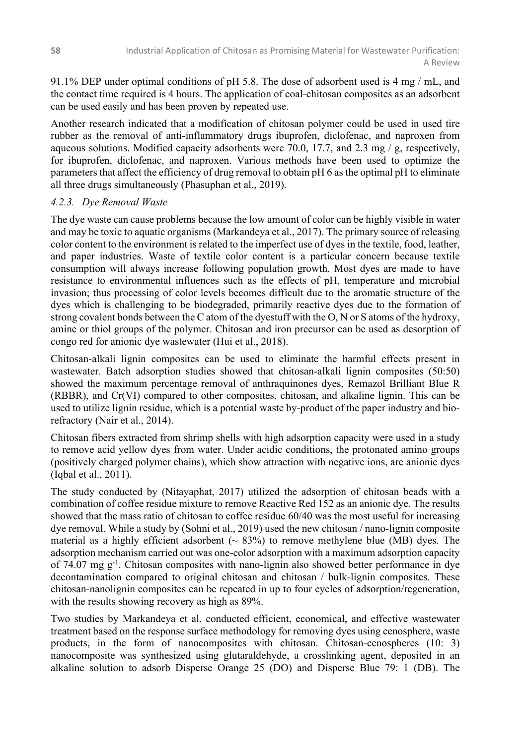91.1% DEP under optimal conditions of pH 5.8. The dose of adsorbent used is 4 mg / mL, and the contact time required is 4 hours. The application of coal-chitosan composites as an adsorbent can be used easily and has been proven by repeated use.

Another research indicated that a modification of chitosan polymer could be used in used tire rubber as the removal of anti-inflammatory drugs ibuprofen, diclofenac, and naproxen from aqueous solutions. Modified capacity adsorbents were 70.0, 17.7, and 2.3 mg /  $g$ , respectively, for ibuprofen, diclofenac, and naproxen. Various methods have been used to optimize the parameters that affect the efficiency of drug removal to obtain pH 6 as the optimal pH to eliminate all three drugs simultaneously (Phasuphan et al., 2019).

### *4.2.3. Dye Removal Waste*

The dye waste can cause problems because the low amount of color can be highly visible in water and may be toxic to aquatic organisms (Markandeya et al., 2017). The primary source of releasing color content to the environment is related to the imperfect use of dyes in the textile, food, leather, and paper industries. Waste of textile color content is a particular concern because textile consumption will always increase following population growth. Most dyes are made to have resistance to environmental influences such as the effects of pH, temperature and microbial invasion; thus processing of color levels becomes difficult due to the aromatic structure of the dyes which is challenging to be biodegraded, primarily reactive dyes due to the formation of strong covalent bonds between the C atom of the dyestuff with the O, N or S atoms of the hydroxy, amine or thiol groups of the polymer. Chitosan and iron precursor can be used as desorption of congo red for anionic dye wastewater (Hui et al., 2018).

Chitosan-alkali lignin composites can be used to eliminate the harmful effects present in wastewater. Batch adsorption studies showed that chitosan-alkali lignin composites (50:50) showed the maximum percentage removal of anthraquinones dyes, Remazol Brilliant Blue R (RBBR), and Cr(VI) compared to other composites, chitosan, and alkaline lignin. This can be used to utilize lignin residue, which is a potential waste by-product of the paper industry and biorefractory (Nair et al., 2014).

Chitosan fibers extracted from shrimp shells with high adsorption capacity were used in a study to remove acid yellow dyes from water. Under acidic conditions, the protonated amino groups (positively charged polymer chains), which show attraction with negative ions, are anionic dyes (Iqbal et al., 2011).

The study conducted by (Nitayaphat, 2017) utilized the adsorption of chitosan beads with a combination of coffee residue mixture to remove Reactive Red 152 as an anionic dye. The results showed that the mass ratio of chitosan to coffee residue 60/40 was the most useful for increasing dye removal. While a study by (Sohni et al., 2019) used the new chitosan / nano-lignin composite material as a highly efficient adsorbent ( $\sim 83\%$ ) to remove methylene blue (MB) dyes. The adsorption mechanism carried out was one-color adsorption with a maximum adsorption capacity of 74.07 mg g<sup>-1</sup>. Chitosan composites with nano-lignin also showed better performance in dye decontamination compared to original chitosan and chitosan / bulk-lignin composites. These chitosan-nanolignin composites can be repeated in up to four cycles of adsorption/regeneration, with the results showing recovery as high as 89%.

Two studies by Markandeya et al. conducted efficient, economical, and effective wastewater treatment based on the response surface methodology for removing dyes using cenosphere, waste products, in the form of nanocomposites with chitosan. Chitosan-cenospheres (10: 3) nanocomposite was synthesized using glutaraldehyde, a crosslinking agent, deposited in an alkaline solution to adsorb Disperse Orange 25 (DO) and Disperse Blue 79: 1 (DB). The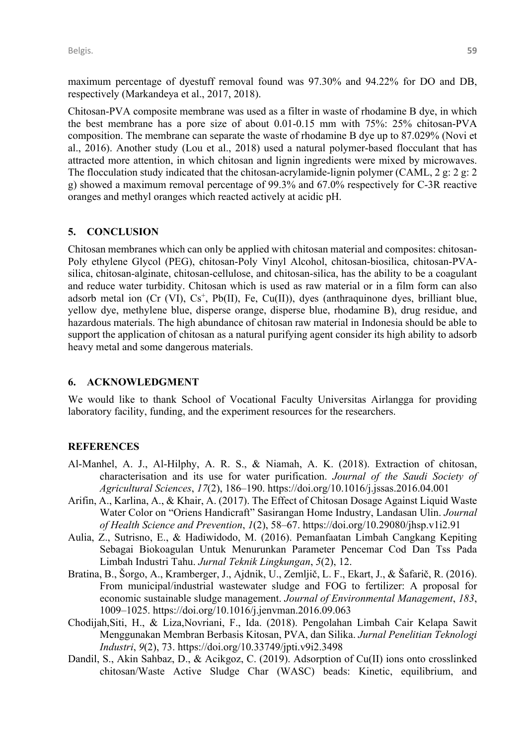maximum percentage of dyestuff removal found was 97.30% and 94.22% for DO and DB, respectively (Markandeya et al., 2017, 2018).

Chitosan-PVA composite membrane was used as a filter in waste of rhodamine B dye, in which the best membrane has a pore size of about 0.01-0.15 mm with 75%: 25% chitosan-PVA composition. The membrane can separate the waste of rhodamine B dye up to 87.029% (Novi et al., 2016). Another study (Lou et al., 2018) used a natural polymer-based flocculant that has attracted more attention, in which chitosan and lignin ingredients were mixed by microwaves. The flocculation study indicated that the chitosan-acrylamide-lignin polymer (CAML, 2 g: 2 g: 2 g) showed a maximum removal percentage of 99.3% and 67.0% respectively for C-3R reactive oranges and methyl oranges which reacted actively at acidic pH.

#### **5. CONCLUSION**

Chitosan membranes which can only be applied with chitosan material and composites: chitosan-Poly ethylene Glycol (PEG), chitosan-Poly Vinyl Alcohol, chitosan-biosilica, chitosan-PVAsilica, chitosan-alginate, chitosan-cellulose, and chitosan-silica, has the ability to be a coagulant and reduce water turbidity. Chitosan which is used as raw material or in a film form can also adsorb metal ion (Cr (VI),  $Cs^+$ , Pb(II), Fe, Cu(II)), dyes (anthraquinone dyes, brilliant blue, yellow dye, methylene blue, disperse orange, disperse blue, rhodamine B), drug residue, and hazardous materials. The high abundance of chitosan raw material in Indonesia should be able to support the application of chitosan as a natural purifying agent consider its high ability to adsorb heavy metal and some dangerous materials.

#### **6. ACKNOWLEDGMENT**

We would like to thank School of Vocational Faculty Universitas Airlangga for providing laboratory facility, funding, and the experiment resources for the researchers.

#### **REFERENCES**

- Al-Manhel, A. J., Al-Hilphy, A. R. S., & Niamah, A. K. (2018). Extraction of chitosan, characterisation and its use for water purification. *Journal of the Saudi Society of Agricultural Sciences*, *17*(2), 186–190. https://doi.org/10.1016/j.jssas.2016.04.001
- Arifin, A., Karlina, A., & Khair, A. (2017). The Effect of Chitosan Dosage Against Liquid Waste Water Color on "Oriens Handicraft" Sasirangan Home Industry, Landasan Ulin. *Journal of Health Science and Prevention*, *1*(2), 58–67. https://doi.org/10.29080/jhsp.v1i2.91
- Aulia, Z., Sutrisno, E., & Hadiwidodo, M. (2016). Pemanfaatan Limbah Cangkang Kepiting Sebagai Biokoagulan Untuk Menurunkan Parameter Pencemar Cod Dan Tss Pada Limbah Industri Tahu. *Jurnal Teknik Lingkungan*, *5*(2), 12.
- Bratina, B., Šorgo, A., Kramberger, J., Ajdnik, U., Zemljič, L. F., Ekart, J., & Šafarič, R. (2016). From municipal/industrial wastewater sludge and FOG to fertilizer: A proposal for economic sustainable sludge management. *Journal of Environmental Management*, *183*, 1009–1025. https://doi.org/10.1016/j.jenvman.2016.09.063
- Chodijah,Siti, H., & Liza,Novriani, F., Ida. (2018). Pengolahan Limbah Cair Kelapa Sawit Menggunakan Membran Berbasis Kitosan, PVA, dan Silika. *Jurnal Penelitian Teknologi Industri*, *9*(2), 73. https://doi.org/10.33749/jpti.v9i2.3498
- Dandil, S., Akin Sahbaz, D., & Acikgoz, C. (2019). Adsorption of Cu(II) ions onto crosslinked chitosan/Waste Active Sludge Char (WASC) beads: Kinetic, equilibrium, and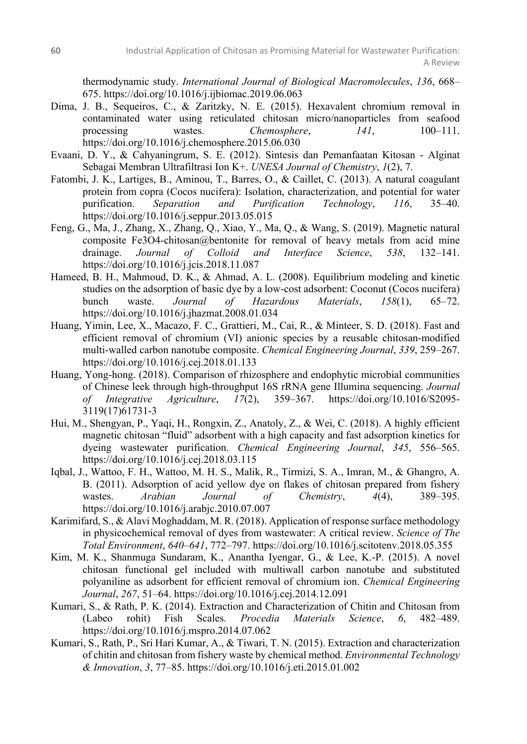thermodynamic study. *International Journal of Biological Macromolecules*, *136*, 668– 675. https://doi.org/10.1016/j.ijbiomac.2019.06.063

- Dima, J. B., Sequeiros, C., & Zaritzky, N. E. (2015). Hexavalent chromium removal in contaminated water using reticulated chitosan micro/nanoparticles from seafood processing wastes. *Chemosphere*, *141*, 100–111. https://doi.org/10.1016/j.chemosphere.2015.06.030
- Evaani, D. Y., & Cahyaningrum, S. E. (2012). Sintesis dan Pemanfaatan Kitosan Alginat Sebagai Membran Ultrafiltrasi Ion K+. *UNESA Journal of Chemistry*, *1*(2), 7.
- Fatombi, J. K., Lartiges, B., Aminou, T., Barres, O., & Caillet, C. (2013). A natural coagulant protein from copra (Cocos nucifera): Isolation, characterization, and potential for water purification. *Separation and Purification Technology*, *116*, 35–40. https://doi.org/10.1016/j.seppur.2013.05.015
- Feng, G., Ma, J., Zhang, X., Zhang, Q., Xiao, Y., Ma, Q., & Wang, S. (2019). Magnetic natural composite Fe3O4-chitosan@bentonite for removal of heavy metals from acid mine drainage. *Journal of Colloid and Interface Science*, *538*, 132–141. https://doi.org/10.1016/j.jcis.2018.11.087
- Hameed, B. H., Mahmoud, D. K., & Ahmad, A. L. (2008). Equilibrium modeling and kinetic studies on the adsorption of basic dye by a low-cost adsorbent: Coconut (Cocos nucifera) bunch waste. *Journal of Hazardous Materials*, *158*(1), 65–72. https://doi.org/10.1016/j.jhazmat.2008.01.034
- Huang, Yimin, Lee, X., Macazo, F. C., Grattieri, M., Cai, R., & Minteer, S. D. (2018). Fast and efficient removal of chromium (VI) anionic species by a reusable chitosan-modified multi-walled carbon nanotube composite. *Chemical Engineering Journal*, *339*, 259–267. https://doi.org/10.1016/j.cej.2018.01.133
- Huang, Yong-hong. (2018). Comparison of rhizosphere and endophytic microbial communities of Chinese leek through high-throughput 16S rRNA gene Illumina sequencing. *Journal of Integrative Agriculture*, *17*(2), 359–367. https://doi.org/10.1016/S2095- 3119(17)61731-3
- Hui, M., Shengyan, P., Yaqi, H., Rongxin, Z., Anatoly, Z., & Wei, C. (2018). A highly efficient magnetic chitosan "fluid" adsorbent with a high capacity and fast adsorption kinetics for dyeing wastewater purification. *Chemical Engineering Journal*, *345*, 556–565. https://doi.org/10.1016/j.cej.2018.03.115
- Iqbal, J., Wattoo, F. H., Wattoo, M. H. S., Malik, R., Tirmizi, S. A., Imran, M., & Ghangro, A. B. (2011). Adsorption of acid yellow dye on flakes of chitosan prepared from fishery wastes. *Arabian Journal of Chemistry*, *4*(4), 389–395. https://doi.org/10.1016/j.arabjc.2010.07.007
- Karimifard, S., & Alavi Moghaddam, M. R. (2018). Application of response surface methodology in physicochemical removal of dyes from wastewater: A critical review. *Science of The Total Environment*, *640–641*, 772–797. https://doi.org/10.1016/j.scitotenv.2018.05.355
- Kim, M. K., Shanmuga Sundaram, K., Anantha Iyengar, G., & Lee, K.-P. (2015). A novel chitosan functional gel included with multiwall carbon nanotube and substituted polyaniline as adsorbent for efficient removal of chromium ion. *Chemical Engineering Journal*, *267*, 51–64. https://doi.org/10.1016/j.cej.2014.12.091
- Kumari, S., & Rath, P. K. (2014). Extraction and Characterization of Chitin and Chitosan from (Labeo rohit) Fish Scales. *Procedia Materials Science*, *6*, 482–489. https://doi.org/10.1016/j.mspro.2014.07.062
- Kumari, S., Rath, P., Sri Hari Kumar, A., & Tiwari, T. N. (2015). Extraction and characterization of chitin and chitosan from fishery waste by chemical method. *Environmental Technology & Innovation*, *3*, 77–85. https://doi.org/10.1016/j.eti.2015.01.002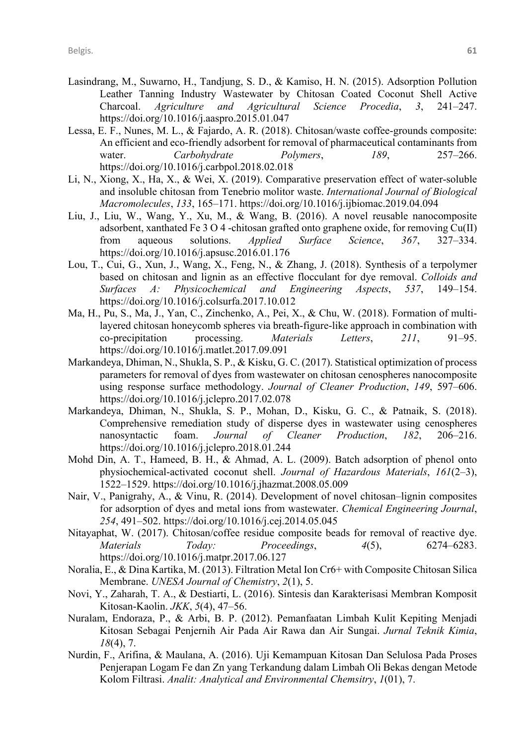- Lasindrang, M., Suwarno, H., Tandjung, S. D., & Kamiso, H. N. (2015). Adsorption Pollution Leather Tanning Industry Wastewater by Chitosan Coated Coconut Shell Active Charcoal. *Agriculture and Agricultural Science Procedia*, *3*, 241–247. https://doi.org/10.1016/j.aaspro.2015.01.047
- Lessa, E. F., Nunes, M. L., & Fajardo, A. R. (2018). Chitosan/waste coffee-grounds composite: An efficient and eco-friendly adsorbent for removal of pharmaceutical contaminants from water. *Carbohydrate Polymers*, *189*, 257–266. https://doi.org/10.1016/j.carbpol.2018.02.018
- Li, N., Xiong, X., Ha, X., & Wei, X. (2019). Comparative preservation effect of water-soluble and insoluble chitosan from Tenebrio molitor waste. *International Journal of Biological Macromolecules*, *133*, 165–171. https://doi.org/10.1016/j.ijbiomac.2019.04.094
- Liu, J., Liu, W., Wang, Y., Xu, M., & Wang, B. (2016). A novel reusable nanocomposite adsorbent, xanthated Fe 3 O 4 -chitosan grafted onto graphene oxide, for removing Cu(II) from aqueous solutions. *Applied Surface Science*, *367*, 327–334. https://doi.org/10.1016/j.apsusc.2016.01.176
- Lou, T., Cui, G., Xun, J., Wang, X., Feng, N., & Zhang, J. (2018). Synthesis of a terpolymer based on chitosan and lignin as an effective flocculant for dye removal. *Colloids and Surfaces A: Physicochemical and Engineering Aspects*, *537*, 149–154. https://doi.org/10.1016/j.colsurfa.2017.10.012
- Ma, H., Pu, S., Ma, J., Yan, C., Zinchenko, A., Pei, X., & Chu, W. (2018). Formation of multilayered chitosan honeycomb spheres via breath-figure-like approach in combination with co-precipitation processing. *Materials Letters*, *211*, 91–95. https://doi.org/10.1016/j.matlet.2017.09.091
- Markandeya, Dhiman, N., Shukla, S. P., & Kisku, G. C. (2017). Statistical optimization of process parameters for removal of dyes from wastewater on chitosan cenospheres nanocomposite using response surface methodology. *Journal of Cleaner Production*, *149*, 597–606. https://doi.org/10.1016/j.jclepro.2017.02.078
- Markandeya, Dhiman, N., Shukla, S. P., Mohan, D., Kisku, G. C., & Patnaik, S. (2018). Comprehensive remediation study of disperse dyes in wastewater using cenospheres nanosyntactic foam. *Journal of Cleaner Production*, *182*, 206–216. https://doi.org/10.1016/j.jclepro.2018.01.244
- Mohd Din, A. T., Hameed, B. H., & Ahmad, A. L. (2009). Batch adsorption of phenol onto physiochemical-activated coconut shell. *Journal of Hazardous Materials*, *161*(2–3), 1522–1529. https://doi.org/10.1016/j.jhazmat.2008.05.009
- Nair, V., Panigrahy, A., & Vinu, R. (2014). Development of novel chitosan–lignin composites for adsorption of dyes and metal ions from wastewater. *Chemical Engineering Journal*, *254*, 491–502. https://doi.org/10.1016/j.cej.2014.05.045
- Nitayaphat, W. (2017). Chitosan/coffee residue composite beads for removal of reactive dye. *Materials Today: Proceedings*, *4*(5), 6274–6283. https://doi.org/10.1016/j.matpr.2017.06.127
- Noralia, E., & Dina Kartika, M. (2013). Filtration Metal Ion Cr6+ with Composite Chitosan Silica Membrane. *UNESA Journal of Chemistry*, *2*(1), 5.
- Novi, Y., Zaharah, T. A., & Destiarti, L. (2016). Sintesis dan Karakterisasi Membran Komposit Kitosan-Kaolin. *JKK*, *5*(4), 47–56.
- Nuralam, Endoraza, P., & Arbi, B. P. (2012). Pemanfaatan Limbah Kulit Kepiting Menjadi Kitosan Sebagai Penjernih Air Pada Air Rawa dan Air Sungai. *Jurnal Teknik Kimia*, *18*(4), 7.
- Nurdin, F., Arifina, & Maulana, A. (2016). Uji Kemampuan Kitosan Dan Selulosa Pada Proses Penjerapan Logam Fe dan Zn yang Terkandung dalam Limbah Oli Bekas dengan Metode Kolom Filtrasi. *Analit: Analytical and Environmental Chemsitry*, *1*(01), 7.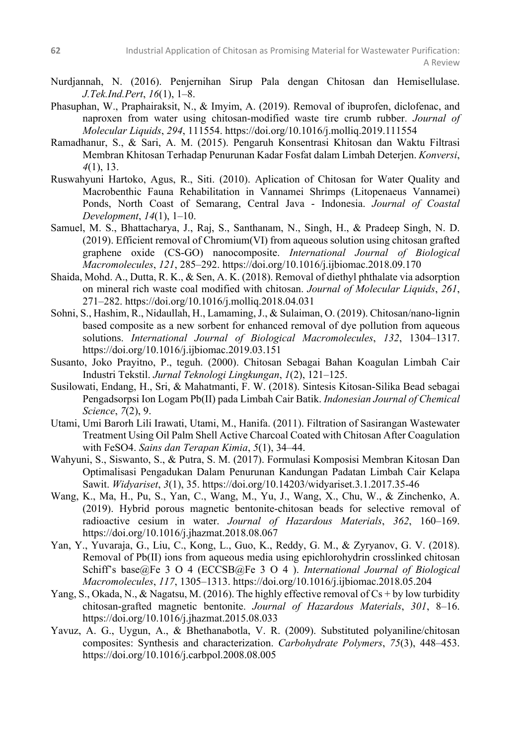- Nurdjannah, N. (2016). Penjernihan Sirup Pala dengan Chitosan dan Hemisellulase. *J.Tek.Ind.Pert*, *16*(1), 1–8.
- Phasuphan, W., Praphairaksit, N., & Imyim, A. (2019). Removal of ibuprofen, diclofenac, and naproxen from water using chitosan-modified waste tire crumb rubber. *Journal of Molecular Liquids*, *294*, 111554. https://doi.org/10.1016/j.molliq.2019.111554
- Ramadhanur, S., & Sari, A. M. (2015). Pengaruh Konsentrasi Khitosan dan Waktu Filtrasi Membran Khitosan Terhadap Penurunan Kadar Fosfat dalam Limbah Deterjen. *Konversi*, *4*(1), 13.
- Ruswahyuni Hartoko, Agus, R., Siti. (2010). Aplication of Chitosan for Water Quality and Macrobenthic Fauna Rehabilitation in Vannamei Shrimps (Litopenaeus Vannamei) Ponds, North Coast of Semarang, Central Java - Indonesia. *Journal of Coastal Development*, *14*(1), 1–10.
- Samuel, M. S., Bhattacharya, J., Raj, S., Santhanam, N., Singh, H., & Pradeep Singh, N. D. (2019). Efficient removal of Chromium(VI) from aqueous solution using chitosan grafted graphene oxide (CS-GO) nanocomposite. *International Journal of Biological Macromolecules*, *121*, 285–292. https://doi.org/10.1016/j.ijbiomac.2018.09.170
- Shaida, Mohd. A., Dutta, R. K., & Sen, A. K. (2018). Removal of diethyl phthalate via adsorption on mineral rich waste coal modified with chitosan. *Journal of Molecular Liquids*, *261*, 271–282. https://doi.org/10.1016/j.molliq.2018.04.031
- Sohni, S., Hashim, R., Nidaullah, H., Lamaming, J., & Sulaiman, O. (2019). Chitosan/nano-lignin based composite as a new sorbent for enhanced removal of dye pollution from aqueous solutions. *International Journal of Biological Macromolecules*, *132*, 1304–1317. https://doi.org/10.1016/j.ijbiomac.2019.03.151
- Susanto, Joko Prayitno, P., teguh. (2000). Chitosan Sebagai Bahan Koagulan Limbah Cair Industri Tekstil. *Jurnal Teknologi Lingkungan*, *1*(2), 121–125.
- Susilowati, Endang, H., Sri, & Mahatmanti, F. W. (2018). Sintesis Kitosan-Silika Bead sebagai Pengadsorpsi Ion Logam Pb(II) pada Limbah Cair Batik. *Indonesian Journal of Chemical Science*, *7*(2), 9.
- Utami, Umi Barorh Lili Irawati, Utami, M., Hanifa. (2011). Filtration of Sasirangan Wastewater Treatment Using Oil Palm Shell Active Charcoal Coated with Chitosan After Coagulation with FeSO4. *Sains dan Terapan Kimia*, *5*(1), 34–44.
- Wahyuni, S., Siswanto, S., & Putra, S. M. (2017). Formulasi Komposisi Membran Kitosan Dan Optimalisasi Pengadukan Dalam Penurunan Kandungan Padatan Limbah Cair Kelapa Sawit. *Widyariset*, *3*(1), 35. https://doi.org/10.14203/widyariset.3.1.2017.35-46
- Wang, K., Ma, H., Pu, S., Yan, C., Wang, M., Yu, J., Wang, X., Chu, W., & Zinchenko, A. (2019). Hybrid porous magnetic bentonite-chitosan beads for selective removal of radioactive cesium in water. *Journal of Hazardous Materials*, *362*, 160–169. https://doi.org/10.1016/j.jhazmat.2018.08.067
- Yan, Y., Yuvaraja, G., Liu, C., Kong, L., Guo, K., Reddy, G. M., & Zyryanov, G. V. (2018). Removal of Pb(II) ions from aqueous media using epichlorohydrin crosslinked chitosan Schiff's base@Fe 3 O 4 (ECCSB@Fe 3 O 4 ). *International Journal of Biological Macromolecules*, *117*, 1305–1313. https://doi.org/10.1016/j.ijbiomac.2018.05.204
- Yang, S., Okada, N., & Nagatsu, M. (2016). The highly effective removal of  $Cs + by$  low turbidity chitosan-grafted magnetic bentonite. *Journal of Hazardous Materials*, *301*, 8–16. https://doi.org/10.1016/j.jhazmat.2015.08.033
- Yavuz, A. G., Uygun, A., & Bhethanabotla, V. R. (2009). Substituted polyaniline/chitosan composites: Synthesis and characterization. *Carbohydrate Polymers*, *75*(3), 448–453. https://doi.org/10.1016/j.carbpol.2008.08.005